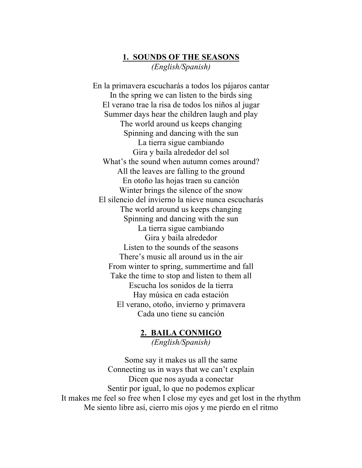# **1. SOUNDS OF THE SEASONS** *(English/Spanish)*

En la primavera escucharás a todos los pájaros cantar In the spring we can listen to the birds sing El verano trae la risa de todos los niños al jugar Summer days hear the children laugh and play The world around us keeps changing Spinning and dancing with the sun La tierra sigue cambiando Gira y baila alrededor del sol What's the sound when autumn comes around? All the leaves are falling to the ground En otoño las hojas traen su canción Winter brings the silence of the snow El silencio del invierno la nieve nunca escucharás The world around us keeps changing Spinning and dancing with the sun La tierra sigue cambiando Gira y baila alrededor Listen to the sounds of the seasons There's music all around us in the air From winter to spring, summertime and fall Take the time to stop and listen to them all Escucha los sonidos de la tierra Hay música en cada estación El verano, otoño, invierno y primavera Cada uno tiene su canción

# **2. BAILA CONMIGO**

*(English/Spanish)*

Some say it makes us all the same Connecting us in ways that we can't explain Dicen que nos ayuda a conectar Sentir por igual, lo que no podemos explicar It makes me feel so free when I close my eyes and get lost in the rhythm Me siento libre así, cierro mis ojos y me pierdo en el ritmo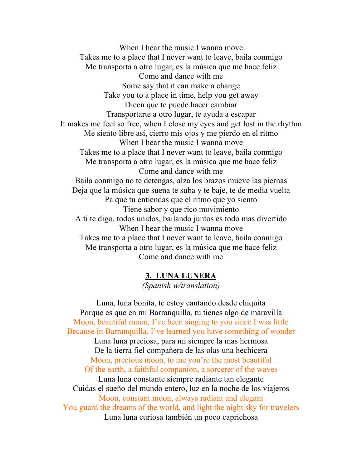When I hear the music I wanna move Takes me to a place that I never want to leave, baila conmigo Me transporta a otro lugar, es la música que me hace feliz Come and dance with me Some say that it can make a change Take you to a place in time, help you get away Dicen que te puede hacer cambiar Transportarte a otro lugar, te ayuda a escapar It makes me feel so free, when I close my eyes and get lost in the rhythm Me siento libre así, cierro mis ojos y me pierdo en el ritmo When I hear the music I wanna move Takes me to a place that I never want to leave, baila conmigo Me transporta a otro lugar, es la música que me hace feliz Come and dance with me Baila conmigo no te detengas, alza los brazos mueve las piernas Deja que la música que suena te suba y te baje, te de media vuelta Pa que tu entiendas que el ritmo que yo siento Tiene sabor y que rico movimiento A ti te digo, todos unidos, bailando juntos es todo mas divertido When I hear the music I wanna move Takes me to a place that I never want to leave, baila conmigo Me transporta a otro lugar, es la música que me hace feliz Come and dance with me

# **3. LUNA LUNERA**

*(Spanish w/translation)*

Luna, luna bonita, te estoy cantando desde chiquita Porque es que en mi Barranquilla, tu tienes algo de maravilla Moon, beautiful moon, I've been singing to you since I was little Because in Barranquilla, I've learned you have something of wonder Luna luna preciosa, para mi siempre la mas hermosa De la tierra fiel compañera de las olas una hechicera Moon, precious moon, to me you're the most beautiful Of the earth, a faithful companion, a sorcerer of the waves Luna luna constante siempre radiante tan elegante Cuidas el sueño del mundo entero, luz en la noche de los viajeros Moon, constant moon, always radiant and elegant You guard the dreams of the world, and light the night sky for travelers Luna luna curiosa también un poco caprichosa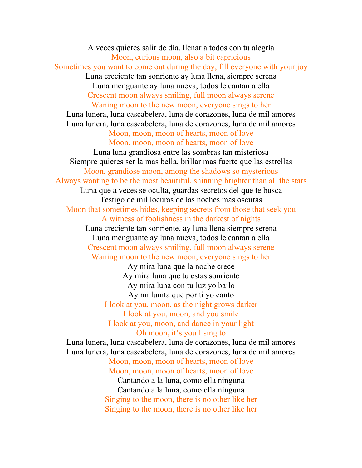A veces quieres salir de día, llenar a todos con tu alegría Moon, curious moon, also a bit capricious Sometimes you want to come out during the day, fill everyone with your joy Luna creciente tan sonriente ay luna llena, siempre serena Luna menguante ay luna nueva, todos le cantan a ella Crescent moon always smiling, full moon always serene Waning moon to the new moon, everyone sings to her Luna lunera, luna cascabelera, luna de corazones, luna de mil amores Luna lunera, luna cascabelera, luna de corazones, luna de mil amores Moon, moon, moon of hearts, moon of love Moon, moon, moon of hearts, moon of love Luna luna grandiosa entre las sombras tan misteriosa Siempre quieres ser la mas bella, brillar mas fuerte que las estrellas Moon, grandiose moon, among the shadows so mysterious Always wanting to be the most beautiful, shinning brighter than all the stars Luna que a veces se oculta, guardas secretos del que te busca Testigo de mil locuras de las noches mas oscuras Moon that sometimes hides, keeping secrets from those that seek you A witness of foolishness in the darkest of nights Luna creciente tan sonriente, ay luna llena siempre serena Luna menguante ay luna nueva, todos le cantan a ella Crescent moon always smiling, full moon always serene Waning moon to the new moon, everyone sings to her Ay mira luna que la noche crece Ay mira luna que tu estas sonriente Ay mira luna con tu luz yo bailo Ay mi lunita que por ti yo canto I look at you, moon, as the night grows darker I look at you, moon, and you smile I look at you, moon, and dance in your light Oh moon, it's you I sing to Luna lunera, luna cascabelera, luna de corazones, luna de mil amores Luna lunera, luna cascabelera, luna de corazones, luna de mil amores Moon, moon, moon of hearts, moon of love Moon, moon, moon of hearts, moon of love Cantando a la luna, como ella ninguna Cantando a la luna, como ella ninguna Singing to the moon, there is no other like her Singing to the moon, there is no other like her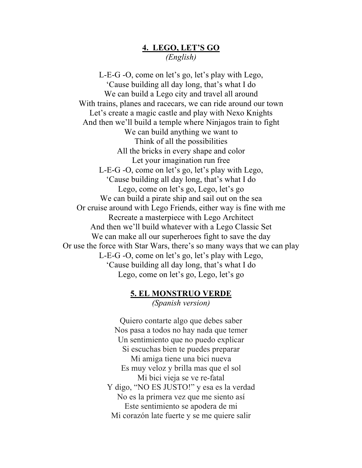## **4. LEGO, LET'S GO** *(English)*

L-E-G -O, come on let's go, let's play with Lego, 'Cause building all day long, that's what I do We can build a Lego city and travel all around With trains, planes and racecars, we can ride around our town Let's create a magic castle and play with Nexo Knights And then we'll build a temple where Ninjagos train to fight We can build anything we want to Think of all the possibilities All the bricks in every shape and color Let your imagination run free L-E-G -O, come on let's go, let's play with Lego, 'Cause building all day long, that's what I do Lego, come on let's go, Lego, let's go We can build a pirate ship and sail out on the sea Or cruise around with Lego Friends, either way is fine with me Recreate a masterpiece with Lego Architect And then we'll build whatever with a Lego Classic Set We can make all our superheroes fight to save the day Or use the force with Star Wars, there's so many ways that we can play L-E-G -O, come on let's go, let's play with Lego, 'Cause building all day long, that's what I do Lego, come on let's go, Lego, let's go

## **5. EL MONSTRUO VERDE**

*(Spanish version)*

Quiero contarte algo que debes saber Nos pasa a todos no hay nada que temer Un sentimiento que no puedo explicar Si escuchas bien te puedes preparar Mi amiga tiene una bici nueva Es muy veloz y brilla mas que el sol Mi bici vieja se ve re-fatal Y digo, "NO ES JUSTO!" y esa es la verdad No es la primera vez que me siento así Este sentimiento se apodera de mi Mi corazón late fuerte y se me quiere salir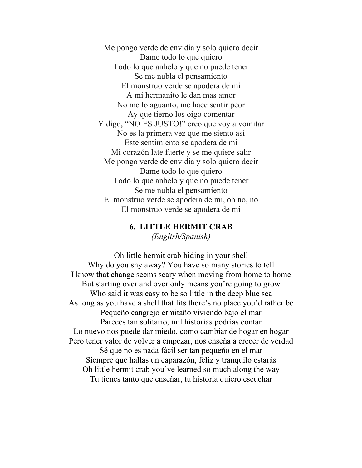Me pongo verde de envidia y solo quiero decir Dame todo lo que quiero Todo lo que anhelo y que no puede tener Se me nubla el pensamiento El monstruo verde se apodera de mi A mi hermanito le dan mas amor No me lo aguanto, me hace sentir peor Ay que tierno los oigo comentar Y digo, "NO ES JUSTO!" creo que voy a vomitar No es la primera vez que me siento así Este sentimiento se apodera de mi Mi corazón late fuerte y se me quiere salir Me pongo verde de envidia y solo quiero decir Dame todo lo que quiero Todo lo que anhelo y que no puede tener Se me nubla el pensamiento El monstruo verde se apodera de mi, oh no, no El monstruo verde se apodera de mi

# **6. LITTLE HERMIT CRAB**

*(English/Spanish)*

Oh little hermit crab hiding in your shell Why do you shy away? You have so many stories to tell I know that change seems scary when moving from home to home But starting over and over only means you're going to grow Who said it was easy to be so little in the deep blue sea As long as you have a shell that fits there's no place you'd rather be Pequeño cangrejo ermitaño viviendo bajo el mar Pareces tan solitario, mil historias podrías contar Lo nuevo nos puede dar miedo, como cambiar de hogar en hogar Pero tener valor de volver a empezar, nos enseña a crecer de verdad Sé que no es nada fácil ser tan pequeño en el mar Siempre que hallas un caparazón, feliz y tranquilo estarás Oh little hermit crab you've learned so much along the way Tu tienes tanto que enseñar, tu historia quiero escuchar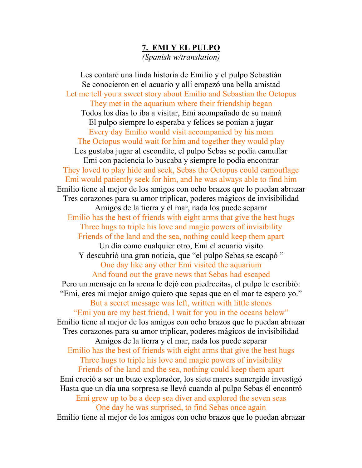## **7. EMI Y EL PULPO**

*(Spanish w/translation)*

Les contaré una linda historia de Emilio y el pulpo Sebastián Se conocieron en el acuario y allí empezó una bella amistad Let me tell you a sweet story about Emilio and Sebastian the Octopus They met in the aquarium where their friendship began Todos los días lo iba a visitar, Emi acompañado de su mamá El pulpo siempre lo esperaba y felices se ponían a jugar Every day Emilio would visit accompanied by his mom The Octopus would wait for him and together they would play Les gustaba jugar al escondite, el pulpo Sebas se podía camuflar Emi con paciencia lo buscaba y siempre lo podía encontrar They loved to play hide and seek, Sebas the Octopus could camouflage Emi would patiently seek for him, and he was always able to find him Emilio tiene al mejor de los amigos con ocho brazos que lo puedan abrazar Tres corazones para su amor triplicar, poderes mágicos de invisibilidad Amigos de la tierra y el mar, nada los puede separar Emilio has the best of friends with eight arms that give the best hugs Three hugs to triple his love and magic powers of invisibility Friends of the land and the sea, nothing could keep them apart Un día como cualquier otro, Emi el acuario visito Y descubrió una gran noticia, que "el pulpo Sebas se escapó " One day like any other Emi visited the aquarium And found out the grave news that Sebas had escaped Pero un mensaje en la arena le dejó con piedrecitas, el pulpo le escribió: "Emi, eres mi mejor amigo quiero que sepas que en el mar te espero yo." But a secret message was left, written with little stones "Emi you are my best friend, I wait for you in the oceans below" Emilio tiene al mejor de los amigos con ocho brazos que lo puedan abrazar Tres corazones para su amor triplicar, poderes mágicos de invisibilidad Amigos de la tierra y el mar, nada los puede separar Emilio has the best of friends with eight arms that give the best hugs Three hugs to triple his love and magic powers of invisibility Friends of the land and the sea, nothing could keep them apart Emi creció a ser un buzo explorador, los siete mares sumergido investigó Hasta que un día una sorpresa se llevó cuando al pulpo Sebas él encontró Emi grew up to be a deep sea diver and explored the seven seas One day he was surprised, to find Sebas once again Emilio tiene al mejor de los amigos con ocho brazos que lo puedan abrazar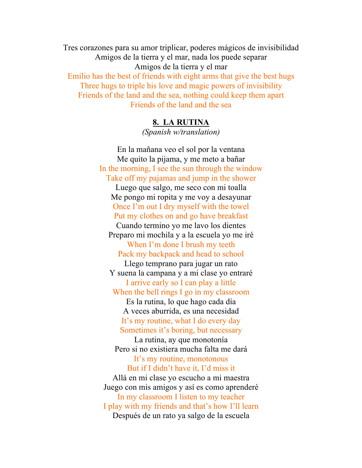Tres corazones para su amor triplicar, poderes mágicos de invisibilidad Amigos de la tierra y el mar, nada los puede separar Amigos de la tierra y el mar Emilio has the best of friends with eight arms that give the best hugs Three hugs to triple his love and magic powers of invisibility Friends of the land and the sea, nothing could keep them apart Friends of the land and the sea

## **8. LA RUTINA**

*(Spanish w/translation)*

En la mañana veo el sol por la ventana Me quito la pijama, y me meto a bañar In the morning, I see the sun through the window Take off my pajamas and jump in the shower Luego que salgo, me seco con mi toalla Me pongo mi ropita y me voy a desayunar Once I'm out I dry myself with the towel Put my clothes on and go have breakfast Cuando termino yo me lavo los dientes Preparo mi mochila y a la escuela yo me iré When I'm done I brush my teeth Pack my backpack and head to school Llego temprano para jugar un rato Y suena la campana y a mi clase yo entraré I arrive early so I can play a little When the bell rings I go in my classroom Es la rutina, lo que hago cada día A veces aburrida, es una necesidad It's my routine, what I do every day Sometimes it's boring, but necessary La rutina, ay que monotonía Pero si no existiera mucha falta me dará It's my routine, monotonous But if I didn't have it, I'd miss it Allá en mi clase yo escucho a mi maestra Juego con mis amigos y así es como aprenderé In my classroom I listen to my teacher I play with my friends and that's how I'll learn Después de un rato ya salgo de la escuela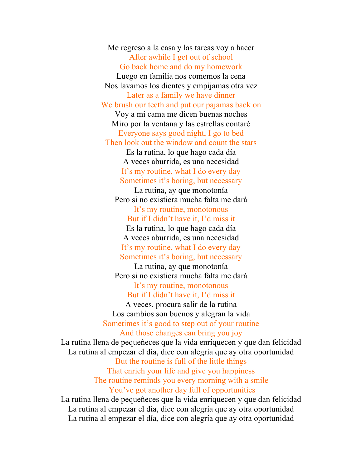Me regreso a la casa y las tareas voy a hacer After awhile I get out of school Go back home and do my homework Luego en familia nos comemos la cena Nos lavamos los dientes y empijamas otra vez Later as a family we have dinner We brush our teeth and put our pajamas back on Voy a mi cama me dicen buenas noches Miro por la ventana y las estrellas contaré Everyone says good night, I go to bed Then look out the window and count the stars Es la rutina, lo que hago cada día A veces aburrida, es una necesidad It's my routine, what I do every day Sometimes it's boring, but necessary La rutina, ay que monotonía Pero si no existiera mucha falta me dará

It's my routine, monotonous But if I didn't have it, I'd miss it

Es la rutina, lo que hago cada día A veces aburrida, es una necesidad It's my routine, what I do every day Sometimes it's boring, but necessary

La rutina, ay que monotonía Pero si no existiera mucha falta me dará

It's my routine, monotonous But if I didn't have it, I'd miss it

A veces, procura salir de la rutina Los cambios son buenos y alegran la vida Sometimes it's good to step out of your routine And those changes can bring you joy

La rutina llena de pequeñeces que la vida enriquecen y que dan felicidad La rutina al empezar el día, dice con alegría que ay otra oportunidad But the routine is full of the little things That enrich your life and give you happiness The routine reminds you every morning with a smile You've got another day full of opportunities La rutina llena de pequeñeces que la vida enriquecen y que dan felicidad

La rutina al empezar el día, dice con alegría que ay otra oportunidad La rutina al empezar el día, dice con alegría que ay otra oportunidad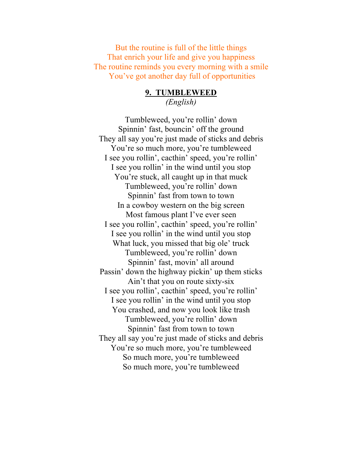But the routine is full of the little things That enrich your life and give you happiness The routine reminds you every morning with a smile You've got another day full of opportunities

#### **9. TUMBLEWEED** *(English)*

Tumbleweed, you're rollin' down Spinnin' fast, bouncin' off the ground They all say you're just made of sticks and debris You're so much more, you're tumbleweed I see you rollin', cacthin' speed, you're rollin' I see you rollin' in the wind until you stop You're stuck, all caught up in that muck Tumbleweed, you're rollin' down Spinnin' fast from town to town In a cowboy western on the big screen Most famous plant I've ever seen I see you rollin', cacthin' speed, you're rollin' I see you rollin' in the wind until you stop What luck, you missed that big ole' truck Tumbleweed, you're rollin' down Spinnin' fast, movin' all around Passin' down the highway pickin' up them sticks Ain't that you on route sixty-six I see you rollin', cacthin' speed, you're rollin' I see you rollin' in the wind until you stop You crashed, and now you look like trash Tumbleweed, you're rollin' down Spinnin' fast from town to town They all say you're just made of sticks and debris You're so much more, you're tumbleweed So much more, you're tumbleweed So much more, you're tumbleweed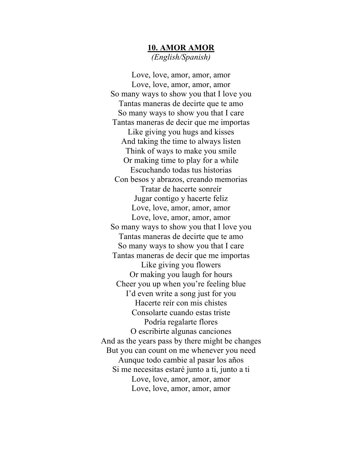# **10. AMOR AMOR** *(English/Spanish)*

Love, love, amor, amor, amor Love, love, amor, amor, amor So many ways to show you that I love you Tantas maneras de decirte que te amo So many ways to show you that I care Tantas maneras de decir que me importas Like giving you hugs and kisses And taking the time to always listen Think of ways to make you smile Or making time to play for a while Escuchando todas tus historias Con besos y abrazos, creando memorias Tratar de hacerte sonreír Jugar contigo y hacerte feliz Love, love, amor, amor, amor Love, love, amor, amor, amor So many ways to show you that I love you Tantas maneras de decirte que te amo So many ways to show you that I care Tantas maneras de decir que me importas Like giving you flowers Or making you laugh for hours Cheer you up when you're feeling blue I'd even write a song just for you Hacerte reír con mis chistes Consolarte cuando estas triste Podría regalarte flores O escribirte algunas canciones And as the years pass by there might be changes But you can count on me whenever you need Aunque todo cambie al pasar los años Si me necesitas estaré junto a ti, junto a ti Love, love, amor, amor, amor Love, love, amor, amor, amor